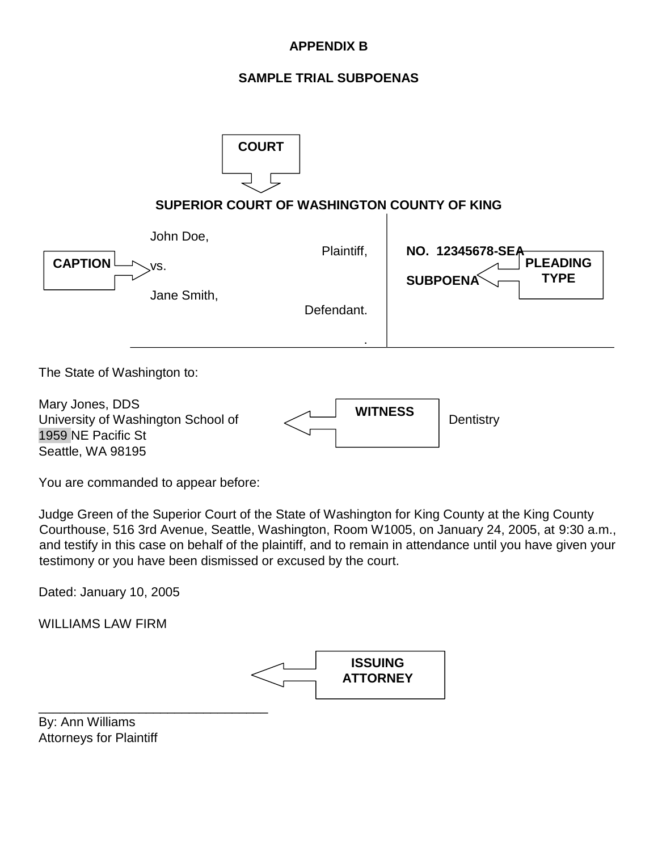## **APPENDIX B**

## **SAMPLE TRIAL SUBPOENAS**

| <b>COURT</b><br>SUPERIOR COURT OF WASHINGTON COUNTY OF KING |                                            |                                                                       |
|-------------------------------------------------------------|--------------------------------------------|-----------------------------------------------------------------------|
| John Doe,<br><b>CAPTION</b><br>VS.<br>Jane Smith,           | Plaintiff,<br>Defendant.                   | NO. 12345678-SEA<br><b>PLEADING</b><br><b>TYPE</b><br><b>SUBPOENA</b> |
| The State of Washington to:<br>Mary Jones, DDS              | <b>WITNESS</b><br>$\overline{\phantom{a}}$ |                                                                       |

University of Washington School of 1959 NE Pacific St Seattle, WA 98195

| <b>WITNESS</b> | Dentistry |
|----------------|-----------|
|                |           |

You are commanded to appear before:

Judge Green of the Superior Court of the State of Washington for King County at the King County Courthouse, 516 3rd Avenue, Seattle, Washington, Room W1005, on January 24, 2005, at 9:30 a.m., and testify in this case on behalf of the plaintiff, and to remain in attendance until you have given your testimony or you have been dismissed or excused by the court.

Dated: January 10, 2005

WILLIAMS LAW FIRM



By: Ann Williams Attorneys for Plaintiff